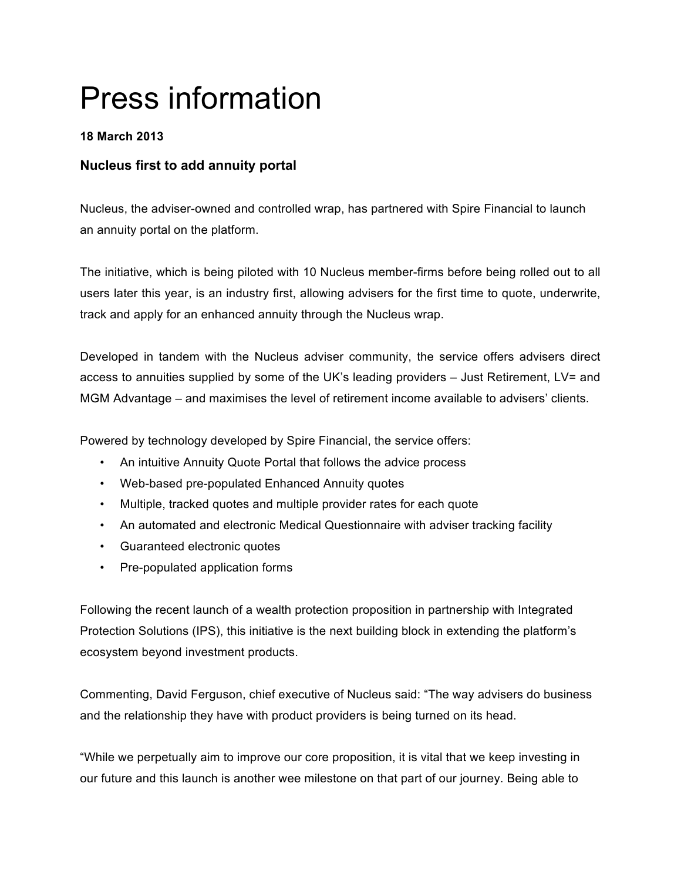# Press information

## **18 March 2013**

# **Nucleus first to add annuity portal**

Nucleus, the adviser-owned and controlled wrap, has partnered with Spire Financial to launch an annuity portal on the platform.

The initiative, which is being piloted with 10 Nucleus member-firms before being rolled out to all users later this year, is an industry first, allowing advisers for the first time to quote, underwrite, track and apply for an enhanced annuity through the Nucleus wrap.

Developed in tandem with the Nucleus adviser community, the service offers advisers direct access to annuities supplied by some of the UK's leading providers – Just Retirement, LV= and MGM Advantage – and maximises the level of retirement income available to advisers' clients.

Powered by technology developed by Spire Financial, the service offers:

- An intuitive Annuity Quote Portal that follows the advice process
- Web-based pre-populated Enhanced Annuity quotes
- Multiple, tracked quotes and multiple provider rates for each quote
- An automated and electronic Medical Questionnaire with adviser tracking facility
- Guaranteed electronic quotes
- Pre-populated application forms

Following the recent launch of a wealth protection proposition in partnership with Integrated Protection Solutions (IPS), this initiative is the next building block in extending the platform's ecosystem beyond investment products.

Commenting, David Ferguson, chief executive of Nucleus said: "The way advisers do business and the relationship they have with product providers is being turned on its head.

"While we perpetually aim to improve our core proposition, it is vital that we keep investing in our future and this launch is another wee milestone on that part of our journey. Being able to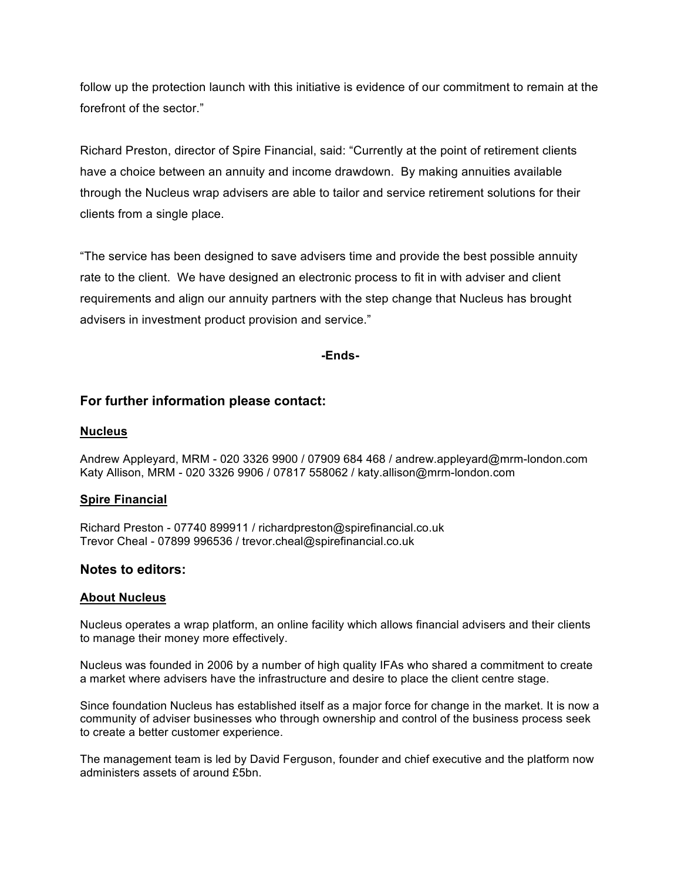follow up the protection launch with this initiative is evidence of our commitment to remain at the forefront of the sector."

Richard Preston, director of Spire Financial, said: "Currently at the point of retirement clients have a choice between an annuity and income drawdown. By making annuities available through the Nucleus wrap advisers are able to tailor and service retirement solutions for their clients from a single place.

"The service has been designed to save advisers time and provide the best possible annuity rate to the client. We have designed an electronic process to fit in with adviser and client requirements and align our annuity partners with the step change that Nucleus has brought advisers in investment product provision and service."

**-Ends-**

## **For further information please contact:**

### **Nucleus**

Andrew Appleyard, MRM - 020 3326 9900 / 07909 684 468 / andrew.appleyard@mrm-london.com Katy Allison, MRM - 020 3326 9906 / 07817 558062 / katy.allison@mrm-london.com

### **Spire Financial**

Richard Preston - 07740 899911 / richardpreston@spirefinancial.co.uk Trevor Cheal - 07899 996536 / trevor.cheal@spirefinancial.co.uk

## **Notes to editors:**

### **About Nucleus**

Nucleus operates a wrap platform, an online facility which allows financial advisers and their clients to manage their money more effectively.

Nucleus was founded in 2006 by a number of high quality IFAs who shared a commitment to create a market where advisers have the infrastructure and desire to place the client centre stage.

Since foundation Nucleus has established itself as a major force for change in the market. It is now a community of adviser businesses who through ownership and control of the business process seek to create a better customer experience.

The management team is led by David Ferguson, founder and chief executive and the platform now administers assets of around £5bn.